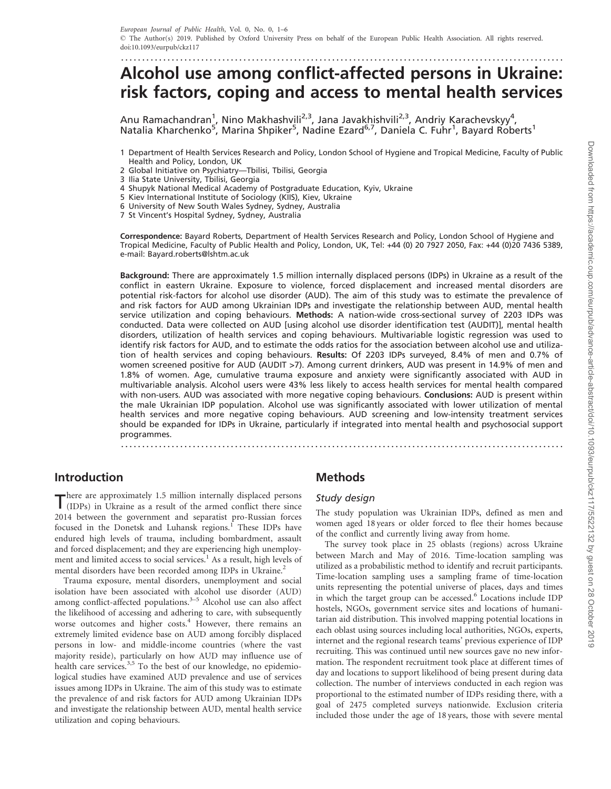# ......................................................................................................... Alcohol use among conflict-affected persons in Ukraine: risk factors, coping and access to mental health services

Anu Ramachandran<sup>1</sup>, Nino Makhashvili<sup>2,3</sup>, Jana Javakhishvili<sup>2,3</sup>, Andriy Karachevskyy<sup>4</sup>, Natalia Kharchenko<sup>5</sup>, Marina Shpiker<sup>5</sup>, Nadine Ezard<sup>6,7</sup>, Daniela C. Fuhr<sup>1</sup>, Bayard Roberts<sup>1</sup>

- 2 Global Initiative on Psychiatry—Tbilisi, Tbilisi, Georgia
- 3 Ilia State University, Tbilisi, Georgia
- 4 Shupyk National Medical Academy of Postgraduate Education, Kyiv, Ukraine
- 5 Kiev International Institute of Sociology (KIIS), Kiev, Ukraine
- 6 University of New South Wales Sydney, Sydney, Australia
- 7 St Vincent's Hospital Sydney, Sydney, Australia

Correspondence: Bayard Roberts, Department of Health Services Research and Policy, London School of Hygiene and Tropical Medicine, Faculty of Public Health and Policy, London, UK, Tel: +44 (0) 20 7927 2050, Fax: +44 (0)20 7436 5389, e-mail: Bayard.roberts@lshtm.ac.uk

Background: There are approximately 1.5 million internally displaced persons (IDPs) in Ukraine as a result of the conflict in eastern Ukraine. Exposure to violence, forced displacement and increased mental disorders are potential risk-factors for alcohol use disorder (AUD). The aim of this study was to estimate the prevalence of and risk factors for AUD among Ukrainian IDPs and investigate the relationship between AUD, mental health service utilization and coping behaviours. Methods: A nation-wide cross-sectional survey of 2203 IDPs was conducted. Data were collected on AUD [using alcohol use disorder identification test (AUDIT)], mental health disorders, utilization of health services and coping behaviours. Multivariable logistic regression was used to identify risk factors for AUD, and to estimate the odds ratios for the association between alcohol use and utilization of health services and coping behaviours. Results: Of 2203 IDPs surveyed, 8.4% of men and 0.7% of women screened positive for AUD (AUDIT >7). Among current drinkers, AUD was present in 14.9% of men and 1.8% of women. Age, cumulative trauma exposure and anxiety were significantly associated with AUD in multivariable analysis. Alcohol users were 43% less likely to access health services for mental health compared with non-users. AUD was associated with more negative coping behaviours. Conclusions: AUD is present within the male Ukrainian IDP population. Alcohol use was significantly associated with lower utilization of mental health services and more negative coping behaviours. AUD screening and low-intensity treatment services should be expanded for IDPs in Ukraine, particularly if integrated into mental health and psychosocial support programmes. .........................................................................................................

## Introduction

There are approximately 1.5 million internally displaced persons (IDPs) in Ukraine as a result of the armed conflict there since 2014 between the government and separatist pro-Russian forces focused in the Donetsk and Luhansk regions.<sup>[1](#page-5-0)</sup> These IDPs have endured high levels of trauma, including bombardment, assault and forced displacement; and they are experiencing high unemploy-ment and limited access to social services.<sup>[1](#page-5-0)</sup> As a result, high levels of mental disorders have been recorded among IDPs in Ukraine.<sup>[2](#page-5-0)</sup>

Trauma exposure, mental disorders, unemployment and social isolation have been associated with alcohol use disorder (AUD) among conflict-affected populations. $3-5$  Alcohol use can also affect the likelihood of accessing and adhering to care, with subsequently worse outcomes and higher costs.<sup>[4](#page-5-0)</sup> However, there remains an extremely limited evidence base on AUD among forcibly displaced persons in low- and middle-income countries (where the vast majority reside), particularly on how AUD may influence use of health care services.<sup>[3,5](#page-5-0)</sup> To the best of our knowledge, no epidemiological studies have examined AUD prevalence and use of services issues among IDPs in Ukraine. The aim of this study was to estimate the prevalence of and risk factors for AUD among Ukrainian IDPs and investigate the relationship between AUD, mental health service utilization and coping behaviours.

### Methods

#### Study design

The study population was Ukrainian IDPs, defined as men and women aged 18 years or older forced to flee their homes because of the conflict and currently living away from home.

The survey took place in 25 oblasts (regions) across Ukraine between March and May of 2016. Time-location sampling was utilized as a probabilistic method to identify and recruit participants. Time-location sampling uses a sampling frame of time-location units representing the potential universe of places, days and times in which the target group can be accessed.<sup>6</sup> Locations include IDP hostels, NGOs, government service sites and locations of humanitarian aid distribution. This involved mapping potential locations in each oblast using sources including local authorities, NGOs, experts, internet and the regional research teams' previous experience of IDP recruiting. This was continued until new sources gave no new information. The respondent recruitment took place at different times of day and locations to support likelihood of being present during data collection. The number of interviews conducted in each region was proportional to the estimated number of IDPs residing there, with a goal of 2475 completed surveys nationwide. Exclusion criteria included those under the age of 18 years, those with severe mental

<sup>1</sup> Department of Health Services Research and Policy, London School of Hygiene and Tropical Medicine, Faculty of Public Health and Policy, London, UK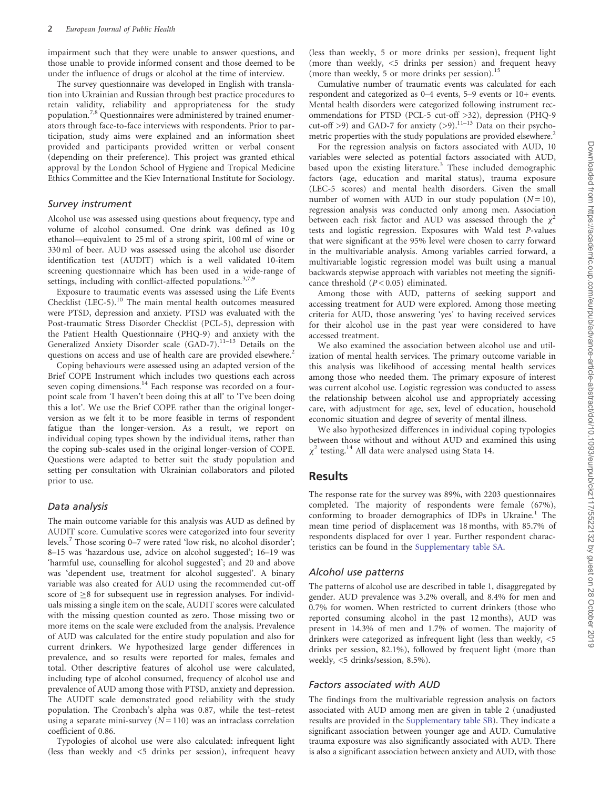impairment such that they were unable to answer questions, and those unable to provide informed consent and those deemed to be under the influence of drugs or alcohol at the time of interview.

The survey questionnaire was developed in English with translation into Ukrainian and Russian through best practice procedures to retain validity, reliability and appropriateness for the study population.[7](#page-5-0),[8](#page-5-0) Questionnaires were administered by trained enumerators through face-to-face interviews with respondents. Prior to participation, study aims were explained and an information sheet provided and participants provided written or verbal consent (depending on their preference). This project was granted ethical approval by the London School of Hygiene and Tropical Medicine Ethics Committee and the Kiev International Institute for Sociology.

#### Survey instrument

Alcohol use was assessed using questions about frequency, type and volume of alcohol consumed. One drink was defined as 10 g ethanol—equivalent to 25 ml of a strong spirit, 100 ml of wine or 330 ml of beer. AUD was assessed using the alcohol use disorder identification test (AUDIT) which is a well validated 10-item screening questionnaire which has been used in a wide-range of settings, including with conflict-affected populations.<sup>[3](#page-5-0),[7,9](#page-5-0)</sup>

Exposure to traumatic events was assessed using the Life Events Checklist (LEC-5).<sup>[10](#page-5-0)</sup> The main mental health outcomes measured were PTSD, depression and anxiety. PTSD was evaluated with the Post-traumatic Stress Disorder Checklist (PCL-5), depression with the Patient Health Questionnaire (PHQ-9) and anxiety with the Generalized Anxiety Disorder scale  $(GAD-7)$ .<sup>[11–13](#page-5-0)</sup> Details on the questions on access and use of health care are provided elsewhere.<sup>[2](#page-5-0)</sup>

Coping behaviours were assessed using an adapted version of the Brief COPE Instrument which includes two questions each across seven coping dimensions.<sup>[14](#page-5-0)</sup> Each response was recorded on a fourpoint scale from 'I haven't been doing this at all' to 'I've been doing this a lot'. We use the Brief COPE rather than the original longerversion as we felt it to be more feasible in terms of respondent fatigue than the longer-version. As a result, we report on individual coping types shown by the individual items, rather than the coping sub-scales used in the original longer-version of COPE. Questions were adapted to better suit the study population and setting per consultation with Ukrainian collaborators and piloted prior to use.

#### Data analysis

The main outcome variable for this analysis was AUD as defined by AUDIT score. Cumulative scores were categorized into four severity levels.<sup>[7](#page-5-0)</sup> Those scoring 0–7 were rated 'low risk, no alcohol disorder'; 8–15 was 'hazardous use, advice on alcohol suggested'; 16–19 was 'harmful use, counselling for alcohol suggested'; and 20 and above was 'dependent use, treatment for alcohol suggested'. A binary variable was also created for AUD using the recommended cut-off score of  $\geq$ 8 for subsequent use in regression analyses. For individuals missing a single item on the scale, AUDIT scores were calculated with the missing question counted as zero. Those missing two or more items on the scale were excluded from the analysis. Prevalence of AUD was calculated for the entire study population and also for current drinkers. We hypothesized large gender differences in prevalence, and so results were reported for males, females and total. Other descriptive features of alcohol use were calculated, including type of alcohol consumed, frequency of alcohol use and prevalence of AUD among those with PTSD, anxiety and depression. The AUDIT scale demonstrated good reliability with the study population. The Cronbach's alpha was 0.87, while the test–retest using a separate mini-survey  $(N = 110)$  was an intraclass correlation coefficient of 0.86.

Typologies of alcohol use were also calculated: infrequent light (less than weekly and <5 drinks per session), infrequent heavy

(less than weekly, 5 or more drinks per session), frequent light (more than weekly, <5 drinks per session) and frequent heavy (more than weekly, 5 or more drinks per session).<sup>[15](#page-5-0)</sup>

Cumulative number of traumatic events was calculated for each respondent and categorized as 0–4 events, 5–9 events or 10+ events. Mental health disorders were categorized following instrument recommendations for PTSD (PCL-5 cut-off >32), depression (PHQ-9 cut-off >9) and GAD-7 for anxiety  $(>9)$ .<sup>11–13</sup> Data on their psychometric properties with the study populations are provided elsewhere.<sup>2</sup>

For the regression analysis on factors associated with AUD, 10 variables were selected as potential factors associated with AUD, based upon the existing literature.<sup>[3](#page-5-0)</sup> These included demographic factors (age, education and marital status), trauma exposure (LEC-5 scores) and mental health disorders. Given the small number of women with AUD in our study population  $(N = 10)$ , regression analysis was conducted only among men. Association between each risk factor and AUD was assessed through the  $\chi^2$ tests and logistic regression. Exposures with Wald test P-values that were significant at the 95% level were chosen to carry forward in the multivariable analysis. Among variables carried forward, a multivariable logistic regression model was built using a manual backwards stepwise approach with variables not meeting the significance threshold  $(P < 0.05)$  eliminated.

Among those with AUD, patterns of seeking support and accessing treatment for AUD were explored. Among those meeting criteria for AUD, those answering 'yes' to having received services for their alcohol use in the past year were considered to have accessed treatment.

We also examined the association between alcohol use and utilization of mental health services. The primary outcome variable in this analysis was likelihood of accessing mental health services among those who needed them. The primary exposure of interest was current alcohol use. Logistic regression was conducted to assess the relationship between alcohol use and appropriately accessing care, with adjustment for age, sex, level of education, household economic situation and degree of severity of mental illness.

We also hypothesized differences in individual coping typologies between those without and without AUD and examined this using  $\chi^2$  testing.<sup>[14](#page-5-0)</sup> All data were analysed using Stata 14.

#### Results

The response rate for the survey was 89%, with 2203 questionnaires completed. The majority of respondents were female (67%), conforming to broader demographics of IDPs in Ukraine.<sup>[1](#page-5-0)</sup> The mean time period of displacement was 18 months, with 85.7% of respondents displaced for over 1 year. Further respondent characteristics can be found in the [Supplementary table SA](https://academic.oup.com/eurpub/article-lookup/doi/10.1093/eurpub/ckz117#supplementary-data).

#### Alcohol use patterns

The patterns of alcohol use are described in [table 1](#page-2-0), disaggregated by gender. AUD prevalence was 3.2% overall, and 8.4% for men and 0.7% for women. When restricted to current drinkers (those who reported consuming alcohol in the past 12 months), AUD was present in 14.3% of men and 1.7% of women. The majority of drinkers were categorized as infrequent light (less than weekly, <5 drinks per session, 82.1%), followed by frequent light (more than weekly, <5 drinks/session, 8.5%).

#### Factors associated with AUD

The findings from the multivariable regression analysis on factors associated with AUD among men are given in [table 2](#page-2-0) (unadjusted results are provided in the [Supplementary table SB\)](https://academic.oup.com/eurpub/article-lookup/doi/10.1093/eurpub/ckz117#supplementary-data). They indicate a significant association between younger age and AUD. Cumulative trauma exposure was also significantly associated with AUD. There is also a significant association between anxiety and AUD, with those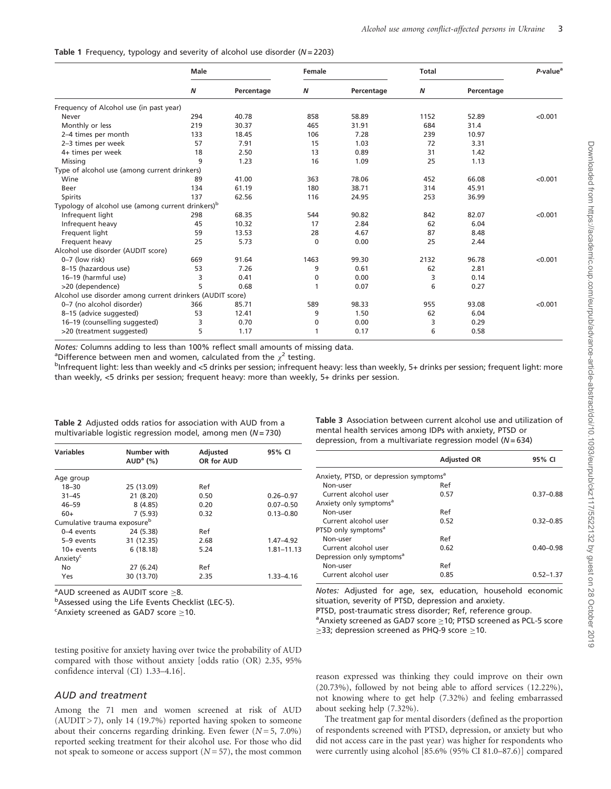<span id="page-2-0"></span>

|  | Table 1 Frequency, typology and severity of alcohol use disorder ( $N = 2203$ ) |  |  |  |  |  |  |  |  |
|--|---------------------------------------------------------------------------------|--|--|--|--|--|--|--|--|
|--|---------------------------------------------------------------------------------|--|--|--|--|--|--|--|--|

|                                                               | Male |            | Female   |            | <b>Total</b> |            | P-value <sup>a</sup> |
|---------------------------------------------------------------|------|------------|----------|------------|--------------|------------|----------------------|
|                                                               | N    | Percentage | Ν        | Percentage | Ν            | Percentage |                      |
| Frequency of Alcohol use (in past year)                       |      |            |          |            |              |            |                      |
| Never                                                         | 294  | 40.78      | 858      | 58.89      | 1152         | 52.89      | < 0.001              |
| Monthly or less                                               | 219  | 30.37      | 465      | 31.91      | 684          | 31.4       |                      |
| 2-4 times per month                                           | 133  | 18.45      | 106      | 7.28       | 239          | 10.97      |                      |
| 2-3 times per week                                            | 57   | 7.91       | 15       | 1.03       | 72           | 3.31       |                      |
| 4+ times per week                                             | 18   | 2.50       | 13       | 0.89       | 31           | 1.42       |                      |
| Missing                                                       | 9    | 1.23       | 16       | 1.09       | 25           | 1.13       |                      |
| Type of alcohol use (among current drinkers)                  |      |            |          |            |              |            |                      |
| Wine                                                          | 89   | 41.00      | 363      | 78.06      | 452          | 66.08      | < 0.001              |
| Beer                                                          | 134  | 61.19      | 180      | 38.71      | 314          | 45.91      |                      |
| Spirits                                                       | 137  | 62.56      | 116      | 24.95      | 253          | 36.99      |                      |
| Typology of alcohol use (among current drinkers) <sup>b</sup> |      |            |          |            |              |            |                      |
| Infrequent light                                              | 298  | 68.35      | 544      | 90.82      | 842          | 82.07      | < 0.001              |
| Infrequent heavy                                              | 45   | 10.32      | 17       | 2.84       | 62           | 6.04       |                      |
| Frequent light                                                | 59   | 13.53      | 28       | 4.67       | 87           | 8.48       |                      |
| Frequent heavy                                                | 25   | 5.73       | $\Omega$ | 0.00       | 25           | 2.44       |                      |
| Alcohol use disorder (AUDIT score)                            |      |            |          |            |              |            |                      |
| 0-7 (low risk)                                                | 669  | 91.64      | 1463     | 99.30      | 2132         | 96.78      | < 0.001              |
| 8-15 (hazardous use)                                          | 53   | 7.26       | 9        | 0.61       | 62           | 2.81       |                      |
| 16-19 (harmful use)                                           | 3    | 0.41       | 0        | 0.00       | 3            | 0.14       |                      |
| >20 (dependence)                                              | 5    | 0.68       | 1        | 0.07       | 6            | 0.27       |                      |
| Alcohol use disorder among current drinkers (AUDIT score)     |      |            |          |            |              |            |                      |
| 0-7 (no alcohol disorder)                                     | 366  | 85.71      | 589      | 98.33      | 955          | 93.08      | < 0.001              |
| 8-15 (advice suggested)                                       | 53   | 12.41      | 9        | 1.50       | 62           | 6.04       |                      |
| 16-19 (counselling suggested)                                 | 3    | 0.70       | 0        | 0.00       | 3            | 0.29       |                      |
| >20 (treatment suggested)                                     | 5    | 1.17       | 1        | 0.17       | 6            | 0.58       |                      |

Notes: Columns adding to less than 100% reflect small amounts of missing data.

<sup>a</sup>Difference between men and women, calculated from the  $\chi^2$  testing.<br><sup>b</sup>infrequent light: less than weekly and <5 drinks per session: infrequent

<sup>b</sup>Infrequent light: less than weekly and <5 drinks per session; infrequent heavy: less than weekly, 5+ drinks per session; frequent light: more than weekly, <5 drinks per session; frequent heavy: more than weekly, 5+ drinks per session.

| Table 2 Adjusted odds ratios for association with AUD from a |  |
|--------------------------------------------------------------|--|
| multivariable logistic regression model, among men $(N=730)$ |  |

| <b>Variables</b>                        | Number with<br>AUD <sup>a</sup> (%) | <b>Adjusted</b><br>OR for AUD | 95% CI         |
|-----------------------------------------|-------------------------------------|-------------------------------|----------------|
| Age group                               |                                     |                               |                |
| $18 - 30$                               | 25 (13.09)                          | Ref                           |                |
| $31 - 45$                               | 21 (8.20)                           | 0.50                          | $0.26 - 0.97$  |
| $46 - 59$                               | 8(4.85)                             | 0.20                          | $0.07 - 0.50$  |
| $60+$                                   | 7(5.93)                             | 0.32                          | $0.13 - 0.80$  |
| Cumulative trauma exposure <sup>b</sup> |                                     |                               |                |
| 0-4 events                              | 24 (5.38)                           | Ref                           |                |
| 5-9 events                              | 31 (12.35)                          | 2.68                          | $1.47 - 4.92$  |
| $10+$ events                            | 6(18.18)                            | 5.24                          | $1.81 - 11.13$ |
| Anxiety <sup>c</sup>                    |                                     |                               |                |
| No                                      | 27 (6.24)                           | Ref                           |                |
| Yes                                     | 30 (13.70)                          | 2.35                          | $1.33 - 4.16$  |

 $^{\circ}$ AUD screened as AUDIT score  $\geq$ 8.<br> $^{\circ}$ Assessed using the Life Events Che

b Assessed using the Life Events Checklist (LEC-5).

 $c^{\text{c}}$ Anxiety screened as GAD7 score  $\geq$ 10.

testing positive for anxiety having over twice the probability of AUD compared with those without anxiety [odds ratio (OR) 2.35, 95% confidence interval (CI) 1.33–4.16].

#### AUD and treatment

Among the 71 men and women screened at risk of AUD  $(AUDIT > 7)$ , only 14 (19.7%) reported having spoken to someone about their concerns regarding drinking. Even fewer  $(N = 5, 7.0\%)$ reported seeking treatment for their alcohol use. For those who did not speak to someone or access support  $(N=57)$ , the most common Table 3 Association between current alcohol use and utilization of mental health services among IDPs with anxiety, PTSD or depression, from a multivariate regression model ( $N = 634$ )

|                                                    | <b>Adjusted OR</b> | 95% CI        |
|----------------------------------------------------|--------------------|---------------|
| Anxiety, PTSD, or depression symptoms <sup>a</sup> |                    |               |
| Non-user                                           | Ref                |               |
| Current alcohol user                               | 0.57               | $0.37 - 0.88$ |
| Anxiety only symptoms <sup>a</sup>                 |                    |               |
| Non-user                                           | Ref                |               |
| Current alcohol user                               | 0.52               | $0.32 - 0.85$ |
| PTSD only symptoms <sup>a</sup>                    |                    |               |
| Non-user                                           | Ref                |               |
| Current alcohol user                               | 0.62               | $0.40 - 0.98$ |
| Depression only symptoms <sup>a</sup>              |                    |               |
| Non-user                                           | Ref                |               |
| Current alcohol user                               | 0.85               | $0.52 - 1.37$ |

Notes: Adjusted for age, sex, education, household economic situation, severity of PTSD, depression and anxiety.

PTSD, post-traumatic stress disorder; Ref, reference group.

a Anxiety screened as GAD7 score > 10; PTSD screened as PCL-5 score  $\geq$ 33; depression screened as PHQ-9 score  $\geq$ 10.

reason expressed was thinking they could improve on their own (20.73%), followed by not being able to afford services (12.22%), not knowing where to get help (7.32%) and feeling embarrassed about seeking help (7.32%).

The treatment gap for mental disorders (defined as the proportion of respondents screened with PTSD, depression, or anxiety but who did not access care in the past year) was higher for respondents who were currently using alcohol [85.6% (95% CI 81.0–87.6)] compared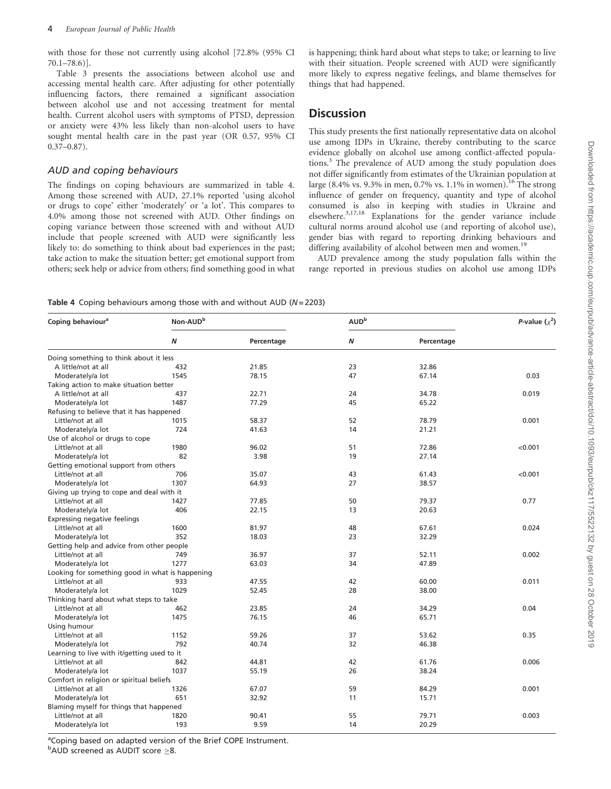with those for those not currently using alcohol [72.8% (95% CI 70.1–78.6)].

[Table 3](#page-2-0) presents the associations between alcohol use and accessing mental health care. After adjusting for other potentially influencing factors, there remained a significant association between alcohol use and not accessing treatment for mental health. Current alcohol users with symptoms of PTSD, depression or anxiety were 43% less likely than non-alcohol users to have sought mental health care in the past year (OR 0.57, 95% CI 0.37–0.87).

#### AUD and coping behaviours

The findings on coping behaviours are summarized in table 4. Among those screened with AUD, 27.1% reported 'using alcohol or drugs to cope' either 'moderately' or 'a lot'. This compares to 4.0% among those not screened with AUD. Other findings on coping variance between those screened with and without AUD include that people screened with AUD were significantly less likely to: do something to think about bad experiences in the past; take action to make the situation better; get emotional support from others; seek help or advice from others; find something good in what

is happening; think hard about what steps to take; or learning to live with their situation. People screened with AUD were significantly more likely to express negative feelings, and blame themselves for things that had happened.

## **Discussion**

This study presents the first nationally representative data on alcohol use among IDPs in Ukraine, thereby contributing to the scarce evidence globally on alcohol use among conflict-affected populations.[3](#page-5-0) The prevalence of AUD among the study population does not differ significantly from estimates of the Ukrainian population at large (8.4% vs. 9.3% in men, 0.7% vs. 1.1% in women).<sup>[16](#page-5-0)</sup> The strong influence of gender on frequency, quantity and type of alcohol consumed is also in keeping with studies in Ukraine and elsewhere.<sup>[3,17,18](#page-5-0)</sup> Explanations for the gender variance include cultural norms around alcohol use (and reporting of alcohol use), gender bias with regard to reporting drinking behaviours and differing availability of alcohol between men and women.<sup>[19](#page-5-0)</sup>

AUD prevalence among the study population falls within the range reported in previous studies on alcohol use among IDPs

Table 4 Coping behaviours among those with and without AUD ( $N = 2203$ )

| Coping behaviour <sup>a</sup>                   | Non-AUD <sup>b</sup> |            |    | AUD <sup>b</sup> |         |  |
|-------------------------------------------------|----------------------|------------|----|------------------|---------|--|
|                                                 | Ν                    | Percentage | Ν  | Percentage       |         |  |
| Doing something to think about it less          |                      |            |    |                  |         |  |
| A little/not at all                             | 432                  | 21.85      | 23 | 32.86            |         |  |
| Moderately/a lot                                | 1545                 | 78.15      | 47 | 67.14            | 0.03    |  |
| Taking action to make situation better          |                      |            |    |                  |         |  |
| A little/not at all                             | 437                  | 22.71      | 24 | 34.78            | 0.019   |  |
| Moderately/a lot                                | 1487                 | 77.29      | 45 | 65.22            |         |  |
| Refusing to believe that it has happened        |                      |            |    |                  |         |  |
| Little/not at all                               | 1015                 | 58.37      | 52 | 78.79            | 0.001   |  |
| Moderately/a lot                                | 724                  | 41.63      | 14 | 21.21            |         |  |
| Use of alcohol or drugs to cope                 |                      |            |    |                  |         |  |
| Little/not at all                               | 1980                 | 96.02      | 51 | 72.86            | < 0.001 |  |
| Moderately/a lot                                | 82                   | 3.98       | 19 | 27.14            |         |  |
| Getting emotional support from others           |                      |            |    |                  |         |  |
| Little/not at all                               | 706                  | 35.07      | 43 | 61.43            | < 0.001 |  |
| Moderately/a lot                                | 1307                 | 64.93      | 27 | 38.57            |         |  |
| Giving up trying to cope and deal with it       |                      |            |    |                  |         |  |
| Little/not at all                               | 1427                 | 77.85      | 50 | 79.37            | 0.77    |  |
| Moderately/a lot                                | 406                  | 22.15      | 13 | 20.63            |         |  |
| Expressing negative feelings                    |                      |            |    |                  |         |  |
| Little/not at all                               | 1600                 | 81.97      | 48 | 67.61            | 0.024   |  |
| Moderately/a lot                                | 352                  | 18.03      | 23 | 32.29            |         |  |
| Getting help and advice from other people       |                      |            |    |                  |         |  |
| Little/not at all                               | 749                  | 36.97      | 37 | 52.11            | 0.002   |  |
| Moderately/a lot                                | 1277                 | 63.03      | 34 | 47.89            |         |  |
| Looking for something good in what is happening |                      |            |    |                  |         |  |
| Little/not at all                               | 933                  | 47.55      | 42 | 60.00            | 0.011   |  |
| Moderately/a lot                                | 1029                 | 52.45      | 28 | 38.00            |         |  |
| Thinking hard about what steps to take          |                      |            |    |                  |         |  |
| Little/not at all                               | 462                  | 23.85      | 24 | 34.29            | 0.04    |  |
| Moderately/a lot                                | 1475                 | 76.15      | 46 | 65.71            |         |  |
| Using humour                                    |                      |            |    |                  |         |  |
| Little/not at all                               | 1152                 | 59.26      | 37 | 53.62            | 0.35    |  |
| Moderately/a lot                                | 792                  | 40.74      | 32 | 46.38            |         |  |
| Learning to live with it/getting used to it     |                      |            |    |                  |         |  |
| Little/not at all                               | 842                  | 44.81      | 42 | 61.76            | 0.006   |  |
| Moderately/a lot                                | 1037                 | 55.19      | 26 | 38.24            |         |  |
| Comfort in religion or spiritual beliefs        |                      |            |    |                  |         |  |
| Little/not at all                               | 1326                 | 67.07      | 59 | 84.29            | 0.001   |  |
| Moderately/a lot                                | 651                  | 32.92      | 11 | 15.71            |         |  |
| Blaming myself for things that happened         |                      |            |    |                  |         |  |
| Little/not at all                               | 1820                 | 90.41      | 55 | 79.71            | 0.003   |  |
|                                                 | 193                  | 9.59       | 14 | 20.29            |         |  |
| Moderately/a lot                                |                      |            |    |                  |         |  |

<sup>a</sup>Coping based on adapted version of the Brief COPE Instrument.  $b$ AUD screened as AUDIT score  $\geq 8$ .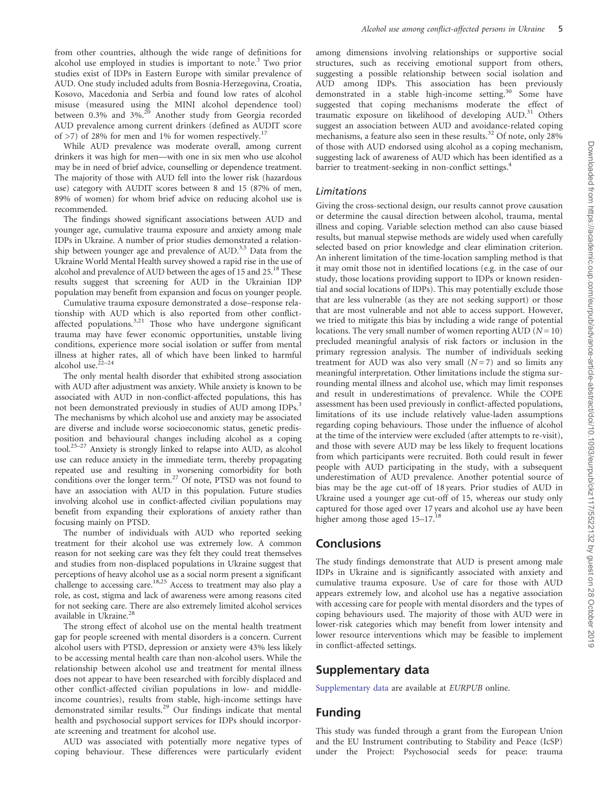from other countries, although the wide range of definitions for alcohol use employed in studies is important to note.<sup>[3](#page-5-0)</sup> Two prior studies exist of IDPs in Eastern Europe with similar prevalence of AUD. One study included adults from Bosnia-Herzegovina, Croatia, Kosovo, Macedonia and Serbia and found low rates of alcohol misuse (measured using the MINI alcohol dependence tool) between 0.3% and 3%.<sup>[20](#page-5-0)</sup> Another study from Georgia recorded AUD prevalence among current drinkers (defined as AUDIT score of  $>7$ ) of 28% for men and 1% for women respectively.<sup>[17](#page-5-0)</sup>

While AUD prevalence was moderate overall, among current drinkers it was high for men—with one in six men who use alcohol may be in need of brief advice, counselling or dependence treatment. The majority of those with AUD fell into the lower risk (hazardous use) category with AUDIT scores between 8 and 15 (87% of men, 89% of women) for whom brief advice on reducing alcohol use is recommended.

The findings showed significant associations between AUD and younger age, cumulative trauma exposure and anxiety among male IDPs in Ukraine. A number of prior studies demonstrated a relation-ship between younger age and prevalence of AUD.<sup>[3,5](#page-5-0)</sup> Data from the Ukraine World Mental Health survey showed a rapid rise in the use of alcohol and prevalence of AUD between the ages of 15 and 25.<sup>[18](#page-5-0)</sup> These results suggest that screening for AUD in the Ukrainian IDP population may benefit from expansion and focus on younger people.

Cumulative trauma exposure demonstrated a dose–response relationship with AUD which is also reported from other conflictaffected populations. $3,21$  Those who have undergone significant trauma may have fewer economic opportunities, unstable living conditions, experience more social isolation or suffer from mental illness at higher rates, all of which have been linked to harmful alcohol use.<sup>2</sup>

The only mental health disorder that exhibited strong association with AUD after adjustment was anxiety. While anxiety is known to be associated with AUD in non-conflict-affected populations, this has not been demonstrated previously in studies of AUD among IDPs.<sup>3</sup> The mechanisms by which alcohol use and anxiety may be associated are diverse and include worse socioeconomic status, genetic predisposition and behavioural changes including alcohol as a coping tool[.25–27](#page-5-0) Anxiety is strongly linked to relapse into AUD, as alcohol use can reduce anxiety in the immediate term, thereby propagating repeated use and resulting in worsening comorbidity for both conditions over the longer term.<sup>[27](#page-5-0)</sup> Of note, PTSD was not found to have an association with AUD in this population. Future studies involving alcohol use in conflict-affected civilian populations may benefit from expanding their explorations of anxiety rather than focusing mainly on PTSD.

The number of individuals with AUD who reported seeking treatment for their alcohol use was extremely low. A common reason for not seeking care was they felt they could treat themselves and studies from non-displaced populations in Ukraine suggest that perceptions of heavy alcohol use as a social norm present a significant challenge to accessing care.<sup>18,[25](#page-5-0)</sup> Access to treatment may also play a role, as cost, stigma and lack of awareness were among reasons cited for not seeking care. There are also extremely limited alcohol services available in Ukraine.<sup>2</sup>

The strong effect of alcohol use on the mental health treatment gap for people screened with mental disorders is a concern. Current alcohol users with PTSD, depression or anxiety were 43% less likely to be accessing mental health care than non-alcohol users. While the relationship between alcohol use and treatment for mental illness does not appear to have been researched with forcibly displaced and other conflict-affected civilian populations in low- and middleincome countries), results from stable, high-income settings have demonstrated similar results.[29](#page-5-0) Our findings indicate that mental health and psychosocial support services for IDPs should incorporate screening and treatment for alcohol use.

AUD was associated with potentially more negative types of coping behaviour. These differences were particularly evident

among dimensions involving relationships or supportive social structures, such as receiving emotional support from others, suggesting a possible relationship between social isolation and AUD among IDPs. This association has been previously demonstrated in a stable high-income setting.<sup>[30](#page-5-0)</sup> Some have suggested that coping mechanisms moderate the effect of traumatic exposure on likelihood of developing  $AUD$ <sup>[31](#page-5-0)</sup> Others suggest an association between AUD and avoidance-related coping mechanisms, a feature also seen in these results.<sup>[32](#page-5-0)</sup> Of note, only 28% of those with AUD endorsed using alcohol as a coping mechanism, suggesting lack of awareness of AUD which has been identified as a barrier to treatment-seeking in non-conflict settings.<sup>[4](#page-5-0)</sup>

#### Limitations

Giving the cross-sectional design, our results cannot prove causation or determine the causal direction between alcohol, trauma, mental illness and coping. Variable selection method can also cause biased results, but manual stepwise methods are widely used when carefully selected based on prior knowledge and clear elimination criterion. An inherent limitation of the time-location sampling method is that it may omit those not in identified locations (e.g. in the case of our study, those locations providing support to IDPs or known residential and social locations of IDPs). This may potentially exclude those that are less vulnerable (as they are not seeking support) or those that are most vulnerable and not able to access support. However, we tried to mitigate this bias by including a wide range of potential locations. The very small number of women reporting AUD  $(N = 10)$ precluded meaningful analysis of risk factors or inclusion in the primary regression analysis. The number of individuals seeking treatment for AUD was also very small  $(N=7)$  and so limits any meaningful interpretation. Other limitations include the stigma surrounding mental illness and alcohol use, which may limit responses and result in underestimations of prevalence. While the COPE assessment has been used previously in conflict-affected populations, limitations of its use include relatively value-laden assumptions regarding coping behaviours. Those under the influence of alcohol at the time of the interview were excluded (after attempts to re-visit), and those with severe AUD may be less likely to frequent locations from which participants were recruited. Both could result in fewer people with AUD participating in the study, with a subsequent underestimation of AUD prevalence. Another potential source of bias may be the age cut-off of 18 years. Prior studies of AUD in Ukraine used a younger age cut-off of 15, whereas our study only captured for those aged over 17 years and alcohol use ay have been higher among those aged 15-17.<sup>[18](#page-5-0)</sup>

### **Conclusions**

The study findings demonstrate that AUD is present among male IDPs in Ukraine and is significantly associated with anxiety and cumulative trauma exposure. Use of care for those with AUD appears extremely low, and alcohol use has a negative association with accessing care for people with mental disorders and the types of coping behaviours used. The majority of those with AUD were in lower-risk categories which may benefit from lower intensity and lower resource interventions which may be feasible to implement in conflict-affected settings.

## Supplementary data

[Supplementary data](https://academic.oup.com/eurpub/article-lookup/doi/10.1093/eurpub/ckz117#supplementary-data) are available at EURPUB online.

## Funding

This study was funded through a grant from the European Union and the EU Instrument contributing to Stability and Peace (IcSP) under the Project: Psychosocial seeds for peace: trauma